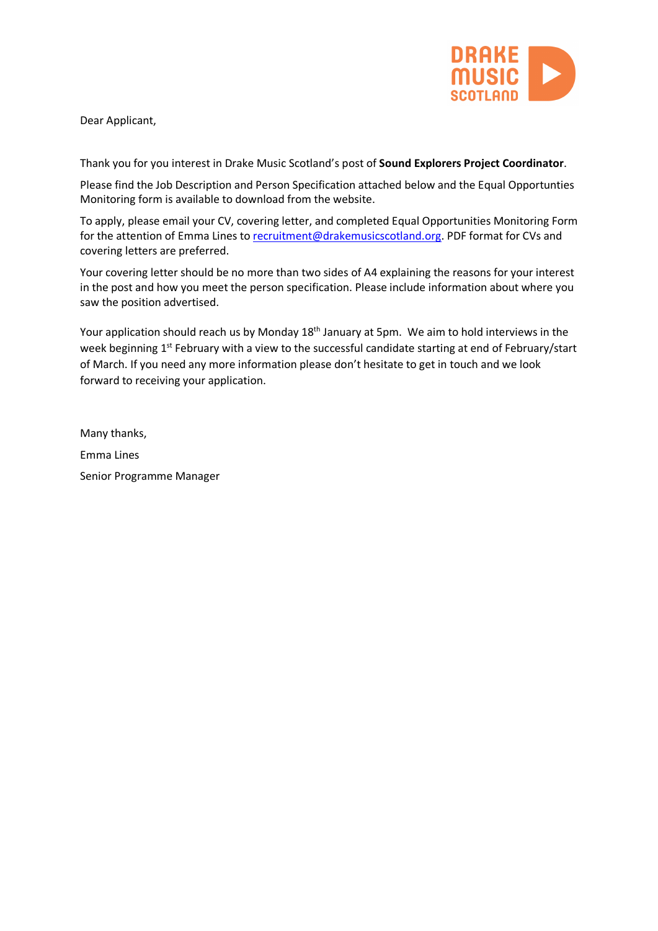

Dear Applicant,

Thank you for you interest in Drake Music Scotland's post of **Sound Explorers Project Coordinator**.

Please find the Job Description and Person Specification attached below and the Equal Opportunties Monitoring form is available to download from the website.

To apply, please email your CV, covering letter, and completed Equal Opportunities Monitoring Form for the attention of Emma Lines to recruitment@drakemusicscotland.org. PDF format for CVs and covering letters are preferred.

Your covering letter should be no more than two sides of A4 explaining the reasons for your interest in the post and how you meet the person specification. Please include information about where you saw the position advertised.

Your application should reach us by Monday 18<sup>th</sup> January at 5pm. We aim to hold interviews in the week beginning 1<sup>st</sup> February with a view to the successful candidate starting at end of February/start of March. If you need any more information please don't hesitate to get in touch and we look forward to receiving your application.

Many thanks, Emma Lines Senior Programme Manager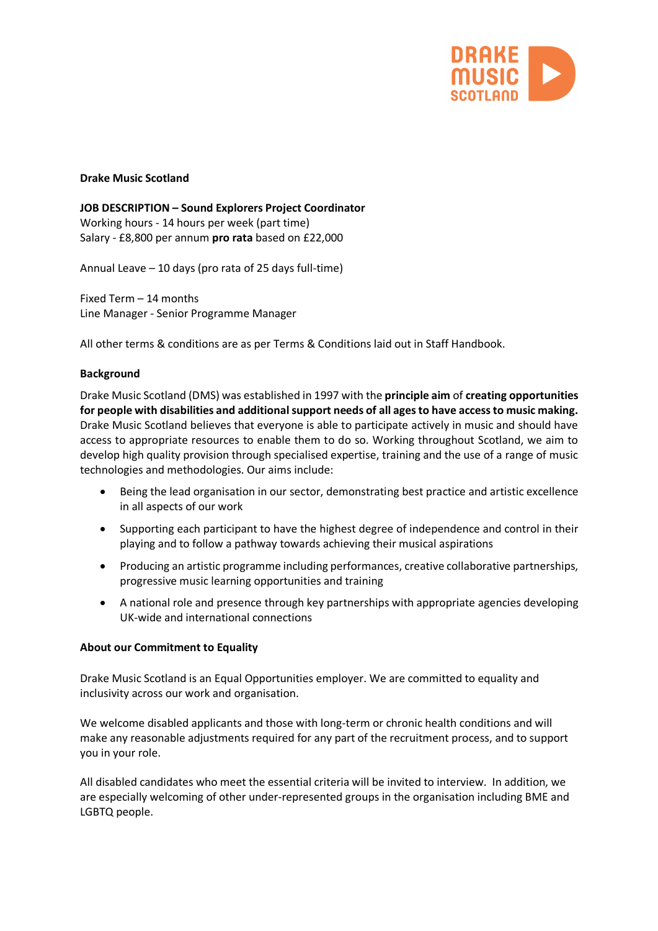

## **Drake Music Scotland**

**JOB DESCRIPTION – Sound Explorers Project Coordinator** Working hours - 14 hours per week (part time) Salary - £8,800 per annum **pro rata** based on £22,000

Annual Leave – 10 days (pro rata of 25 days full-time)

Fixed Term – 14 months Line Manager - Senior Programme Manager

All other terms & conditions are as per Terms & Conditions laid out in Staff Handbook.

## **Background**

Drake Music Scotland (DMS) was established in 1997 with the **principle aim** of **creating opportunities for people with disabilities and additional support needs of all ages to have access to music making.** Drake Music Scotland believes that everyone is able to participate actively in music and should have access to appropriate resources to enable them to do so. Working throughout Scotland, we aim to develop high quality provision through specialised expertise, training and the use of a range of music technologies and methodologies. Our aims include:

- Being the lead organisation in our sector, demonstrating best practice and artistic excellence in all aspects of our work
- Supporting each participant to have the highest degree of independence and control in their playing and to follow a pathway towards achieving their musical aspirations
- Producing an artistic programme including performances, creative collaborative partnerships, progressive music learning opportunities and training
- A national role and presence through key partnerships with appropriate agencies developing UK-wide and international connections

#### **About our Commitment to Equality**

Drake Music Scotland is an Equal Opportunities employer. We are committed to equality and inclusivity across our work and organisation.

We welcome disabled applicants and those with long-term or chronic health conditions and will make any reasonable adjustments required for any part of the recruitment process, and to support you in your role.

All disabled candidates who meet the essential criteria will be invited to interview. In addition, we are especially welcoming of other under-represented groups in the organisation including BME and LGBTQ people.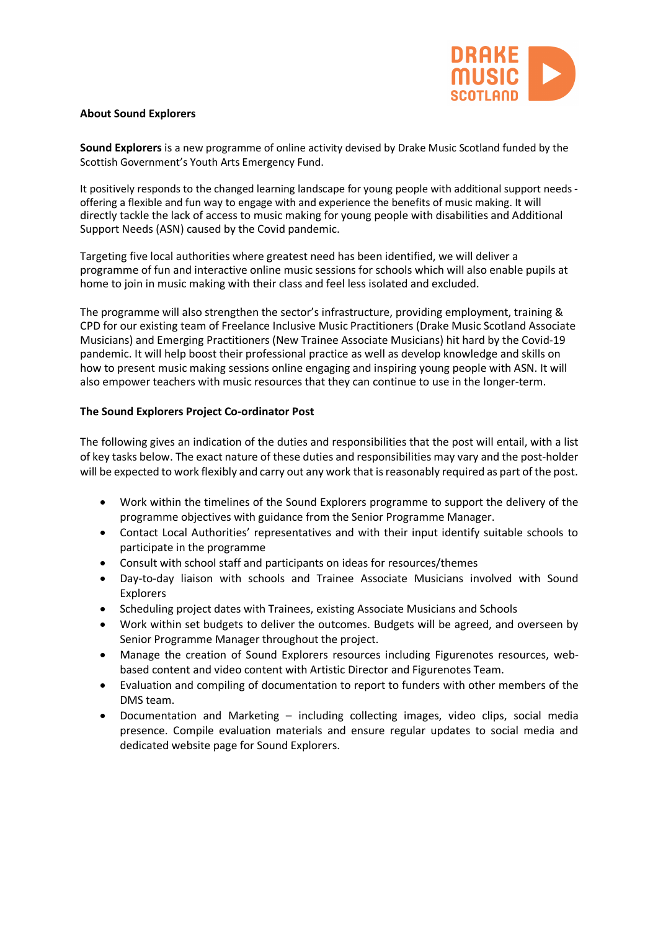

### **About Sound Explorers**

**Sound Explorers** is a new programme of online activity devised by Drake Music Scotland funded by the Scottish Government's Youth Arts Emergency Fund.

It positively responds to the changed learning landscape for young people with additional support needs offering a flexible and fun way to engage with and experience the benefits of music making. It will directly tackle the lack of access to music making for young people with disabilities and Additional Support Needs (ASN) caused by the Covid pandemic.

Targeting five local authorities where greatest need has been identified, we will deliver a programme of fun and interactive online music sessions for schools which will also enable pupils at home to join in music making with their class and feel less isolated and excluded.

The programme will also strengthen the sector's infrastructure, providing employment, training & CPD for our existing team of Freelance Inclusive Music Practitioners (Drake Music Scotland Associate Musicians) and Emerging Practitioners (New Trainee Associate Musicians) hit hard by the Covid-19 pandemic. It will help boost their professional practice as well as develop knowledge and skills on how to present music making sessions online engaging and inspiring young people with ASN. It will also empower teachers with music resources that they can continue to use in the longer-term.

## **The Sound Explorers Project Co-ordinator Post**

The following gives an indication of the duties and responsibilities that the post will entail, with a list of key tasks below. The exact nature of these duties and responsibilities may vary and the post-holder will be expected to work flexibly and carry out any work that is reasonably required as part of the post.

- Work within the timelines of the Sound Explorers programme to support the delivery of the programme objectives with guidance from the Senior Programme Manager.
- Contact Local Authorities' representatives and with their input identify suitable schools to participate in the programme
- Consult with school staff and participants on ideas for resources/themes
- Day-to-day liaison with schools and Trainee Associate Musicians involved with Sound Explorers
- Scheduling project dates with Trainees, existing Associate Musicians and Schools
- Work within set budgets to deliver the outcomes. Budgets will be agreed, and overseen by Senior Programme Manager throughout the project.
- Manage the creation of Sound Explorers resources including Figurenotes resources, webbased content and video content with Artistic Director and Figurenotes Team.
- Evaluation and compiling of documentation to report to funders with other members of the DMS team.
- Documentation and Marketing including collecting images, video clips, social media presence. Compile evaluation materials and ensure regular updates to social media and dedicated website page for Sound Explorers.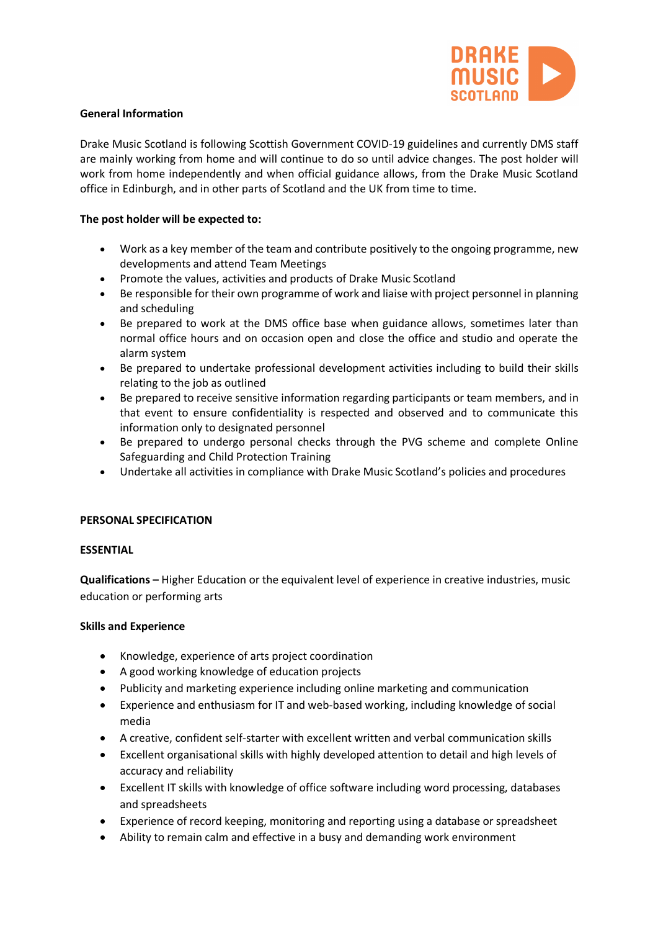

## **General Information**

Drake Music Scotland is following Scottish Government COVID-19 guidelines and currently DMS staff are mainly working from home and will continue to do so until advice changes. The post holder will work from home independently and when official guidance allows, from the Drake Music Scotland office in Edinburgh, and in other parts of Scotland and the UK from time to time.

## **The post holder will be expected to:**

- Work as a key member of the team and contribute positively to the ongoing programme, new developments and attend Team Meetings
- Promote the values, activities and products of Drake Music Scotland
- Be responsible for their own programme of work and liaise with project personnel in planning and scheduling
- Be prepared to work at the DMS office base when guidance allows, sometimes later than normal office hours and on occasion open and close the office and studio and operate the alarm system
- Be prepared to undertake professional development activities including to build their skills relating to the job as outlined
- Be prepared to receive sensitive information regarding participants or team members, and in that event to ensure confidentiality is respected and observed and to communicate this information only to designated personnel
- Be prepared to undergo personal checks through the PVG scheme and complete Online Safeguarding and Child Protection Training
- Undertake all activities in compliance with Drake Music Scotland's policies and procedures

# **PERSONAL SPECIFICATION**

#### **ESSENTIAL**

**Qualifications –** Higher Education or the equivalent level of experience in creative industries, music education or performing arts

#### **Skills and Experience**

- Knowledge, experience of arts project coordination
- A good working knowledge of education projects
- Publicity and marketing experience including online marketing and communication
- Experience and enthusiasm for IT and web-based working, including knowledge of social media
- A creative, confident self-starter with excellent written and verbal communication skills
- Excellent organisational skills with highly developed attention to detail and high levels of accuracy and reliability
- Excellent IT skills with knowledge of office software including word processing, databases and spreadsheets
- Experience of record keeping, monitoring and reporting using a database or spreadsheet
- Ability to remain calm and effective in a busy and demanding work environment